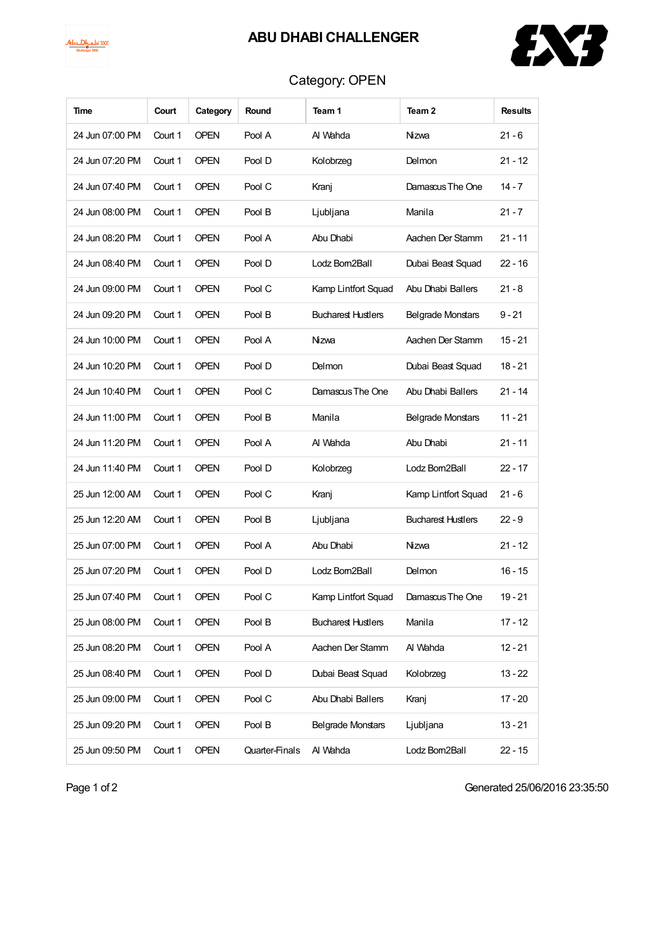

## ABU DHABI CHALLENGER



## Category: OPEN

| Time            | Court   | Category    | Round                 | Team 1                    | Team 2                    | <b>Results</b> |
|-----------------|---------|-------------|-----------------------|---------------------------|---------------------------|----------------|
| 24 Jun 07:00 PM | Court 1 | <b>OPEN</b> | Pool A                | Al Wahda                  | Nizwa                     | $21 - 6$       |
| 24 Jun 07:20 PM | Court 1 | <b>OPEN</b> | Pool D                | Kolobrzeg                 | Delmon                    | $21 - 12$      |
| 24 Jun 07:40 PM | Court 1 | <b>OPEN</b> | Pool C                | Kranj                     | Damascus The One          | 14 - 7         |
| 24 Jun 08:00 PM | Court 1 | <b>OPEN</b> | Pool B                | Ljubljana                 | Manila                    | $21 - 7$       |
| 24 Jun 08:20 PM | Court 1 | <b>OPEN</b> | Pool A                | Abu Dhabi                 | Aachen Der Stamm          | $21 - 11$      |
| 24 Jun 08:40 PM | Court 1 | <b>OPEN</b> | Pool D                | Lodz Bom2Ball             | Dubai Beast Squad         | 22 - 16        |
| 24 Jun 09:00 PM | Court 1 | <b>OPEN</b> | Pool C                | Kamp Lintfort Squad       | Abu Dhabi Ballers         | $21 - 8$       |
| 24 Jun 09:20 PM | Court 1 | <b>OPEN</b> | Pool B                | <b>Bucharest Hustlers</b> | Belgrade Monstars         | $9 - 21$       |
| 24 Jun 10:00 PM | Court 1 | <b>OPEN</b> | Pool A                | Nizwa                     | Aachen Der Stamm          | 15 - 21        |
| 24 Jun 10:20 PM | Court 1 | <b>OPEN</b> | Pool D                | Delmon                    | Dubai Beast Squad         | $18 - 21$      |
| 24 Jun 10:40 PM | Court 1 | <b>OPEN</b> | Pool C                | Damascus The One          | Abu Dhabi Ballers         | $21 - 14$      |
| 24 Jun 11:00 PM | Court 1 | <b>OPEN</b> | Pool B                | Manila                    | <b>Belgrade Monstars</b>  | $11 - 21$      |
| 24 Jun 11:20 PM | Court 1 | <b>OPEN</b> | Pool A                | Al Wahda                  | Abu Dhabi                 | $21 - 11$      |
| 24 Jun 11:40 PM | Court 1 | <b>OPEN</b> | Pool D                | Kolobrzeg                 | Lodz Bom2Ball             | $22 - 17$      |
| 25 Jun 12:00 AM | Court 1 | <b>OPEN</b> | Pool C                | Kranj                     | Kamp Lintfort Squad       | $21 - 6$       |
| 25 Jun 12:20 AM | Court 1 | <b>OPEN</b> | Pool B                | Ljubljana                 | <b>Bucharest Hustlers</b> | $22 - 9$       |
| 25 Jun 07:00 PM | Court 1 | <b>OPEN</b> | Pool A                | Abu Dhabi                 | Nizwa                     | $21 - 12$      |
| 25 Jun 07:20 PM | Court 1 | <b>OPEN</b> | Pool D                | Lodz Bom2Ball             | Delmon                    | $16 - 15$      |
| 25 Jun 07:40 PM | Court 1 | <b>OPEN</b> | Pool C                | Kamp Lintfort Squad       | Damascus The One          | 19 - 21        |
| 25 Jun 08:00 PM | Court 1 | <b>OPEN</b> | Pool B                | <b>Bucharest Hustlers</b> | Manila                    | $17 - 12$      |
| 25 Jun 08:20 PM | Court 1 | <b>OPEN</b> | Pool A                | Aachen Der Stamm          | Al Wahda                  | $12 - 21$      |
| 25 Jun 08:40 PM | Court 1 | <b>OPEN</b> | Pool D                | Dubai Beast Squad         | Kolobrzeg                 | 13 - 22        |
| 25 Jun 09:00 PM | Court 1 | <b>OPEN</b> | Pool C                | Abu Dhabi Ballers         | Kranj                     | $17 - 20$      |
| 25 Jun 09:20 PM | Court 1 | <b>OPEN</b> | Pool B                | <b>Belgrade Monstars</b>  | Ljubljana                 | $13 - 21$      |
| 25 Jun 09:50 PM | Court 1 | <b>OPEN</b> | <b>Quarter-Finals</b> | Al Wahda                  | Lodz Bom2Ball             | $22 - 15$      |

Page 1 of 2 Generated 25/06/2016 23:35:50